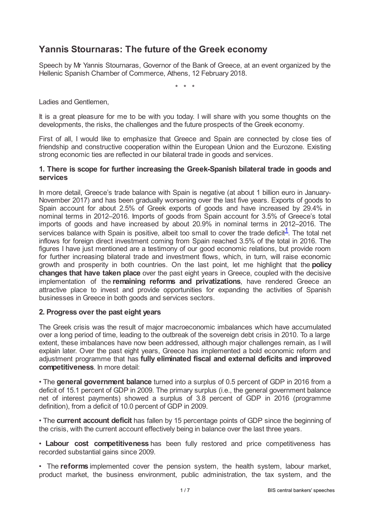# **Yannis Stournaras: The future of the Greek economy**

Speech by Mr Yannis Stournaras, Governor of the Bank of Greece, at an event organized by the Hellenic Spanish Chamber of Commerce, Athens, 12 February 2018.

<span id="page-0-0"></span>\* \* \*

Ladies and Gentlemen,

It is a great pleasure for me to be with you today. I will share with you some thoughts on the developments, the risks, the challenges and the future prospects of the Greek economy.

First of all, I would like to emphasize that Greece and Spain are connected by close ties of friendship and constructive cooperation within the European Union and the Eurozone. Existing strong economic ties are reflected in our bilateral trade in goods and services.

#### **1. There is scope for further increasing the Greek-Spanish bilateral trade in goods and services**

In more detail, Greece's trade balance with Spain is negative (at about 1 billion euro in January-November 2017) and has been gradually worsening over the last five years. Exports of goods to Spain account for about 2.5% of Greek exports of goods and have increased by 29.4% in nominal terms in 2012–2016. Imports of goods from Spain account for 3.5% of Greece's total imports of goods and have increased by about 20.9% in nominal terms in 2012–2016. The services balance with Spain is positive, albeit too small to cover the trade deficit $\frac{1}{1}$  $\frac{1}{1}$  $\frac{1}{1}$ . The total net inflows for foreign direct investment coming from Spain reached 3.5% of the total in 2016. The figures I have just mentioned are a testimony of our good economic relations, but provide room for further increasing bilateral trade and investment flows, which, in turn, will raise economic growth and prosperity in both countries. On the last point, let me highlight that the **policy changes that have taken place** over the past eight years in Greece, coupled with the decisive implementation of the **remaining reforms and privatizations**, have rendered Greece an attractive place to invest and provide opportunities for expanding the activities of Spanish businesses in Greece in both goods and services sectors.

#### **2. Progress over the past eight years**

The Greek crisis was the result of major macroeconomic imbalances which have accumulated over a long period of time, leading to the outbreak of the sovereign debt crisis in 2010. To a large extent, these imbalances have now been addressed, although major challenges remain, as I will explain later. Over the past eight years, Greece has implemented a bold economic reform and adjustment programme that has **fully eliminated fiscal and external deficits and improved competitiveness**. In more detail:

• The **general government balance** turned into a surplus of 0.5 percent of GDP in 2016 from a deficit of 15.1 percent of GDP in 2009. The primary surplus (i.e., the general government balance net of interest payments) showed a surplus of 3.8 percent of GDP in 2016 (programme definition), from a deficit of 10.0 percent of GDP in 2009.

• The **current account deficit** has fallen by 15 percentage points of GDP since the beginning of the crisis, with the current account effectively being in balance over the last three years.

• **Labour cost competitiveness** has been fully restored and price competitiveness has recorded substantial gains since 2009.

• The **reforms** implemented cover the pension system, the health system, labour market, product market, the business environment, public administration, the tax system, and the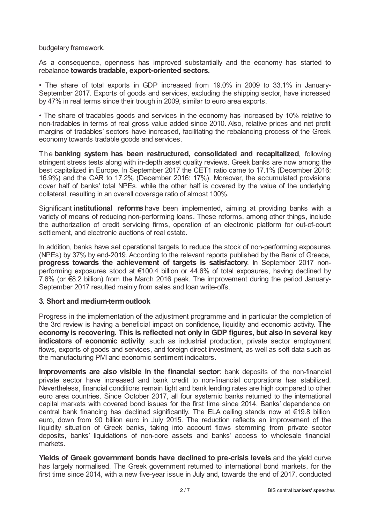budgetary framework.

As a consequence, openness has improved substantially and the economy has started to rebalance **towards tradable, export-oriented sectors.**

• The share of total exports in GDP increased from 19.0% in 2009 to 33.1% in January-September 2017. Exports of goods and services, excluding the shipping sector, have increased by 47% in real terms since their trough in 2009, similar to euro area exports.

• The share of tradables goods and services in the economy has increased by 10% relative to non-tradables in terms of real gross value added since 2010. Also, relative prices and net profit margins of tradables' sectors have increased, facilitating the rebalancing process of the Greek economy towards tradable goods and services.

The **banking system has been restructured, consolidated and recapitalized**, following stringent stress tests along with in-depth asset quality reviews. Greek banks are now among the best capitalized in Europe. In September 2017 the CET1 ratio came to 17.1% (December 2016: 16.9%) and the CAR to 17.2% (December 2016: 17%). Moreover, the accumulated provisions cover half of banks' total NPEs, while the other half is covered by the value of the underlying collateral, resulting in an overall coverage ratio of almost 100%.

Significant **institutional reforms** have been implemented, aiming at providing banks with a variety of means of reducing non-performing loans. These reforms, among other things, include the authorization of credit servicing firms, operation of an electronic platform for out-of-court settlement, and electronic auctions of real estate.

In addition, banks have set operational targets to reduce the stock of non-performing exposures (NPEs) by 37% by end-2019. According to the relevant reports published by the Bank of Greece, **progress towards the achievement of targets is satisfactory**. In September 2017 nonperforming exposures stood at €100.4 billion or 44.6% of total exposures, having declined by 7.6% (or €8.2 billion) from the March 2016 peak. The improvement during the period January-September 2017 resulted mainly from sales and loan write-offs.

#### **3. Short and medium-termoutlook**

Progress in the implementation of the adjustment programme and in particular the completion of the 3rd review is having a beneficial impact on confidence, liquidity and economic activity. **The economy is recovering. This is reflected not only in GDP figures, but also in several key indicators of economic activity**, such as industrial production, private sector employment flows, exports of goods and services, and foreign direct investment, as well as soft data such as the manufacturing PMI and economic sentiment indicators.

**Improvements are also visible in the financial sector**: bank deposits of the non-financial private sector have increased and bank credit to non-financial corporations has stabilized. Nevertheless, financial conditions remain tight and bank lending rates are high compared to other euro area countries. Since October 2017, all four systemic banks returned to the international capital markets with covered bond issues for the first time since 2014. Banks' dependence on central bank financing has declined significantly. The ELA ceiling stands now at €19.8 billion euro, down from 90 billion euro in July 2015. The reduction reflects an improvement of the liquidity situation of Greek banks, taking into account flows stemming from private sector deposits, banks' liquidations of non-core assets and banks' access to wholesale financial markets.

**Yields of Greek government bonds have declined to pre-crisis levels** and the yield curve has largely normalised. The Greek government returned to international bond markets, for the first time since 2014, with a new five-year issue in July and, towards the end of 2017, conducted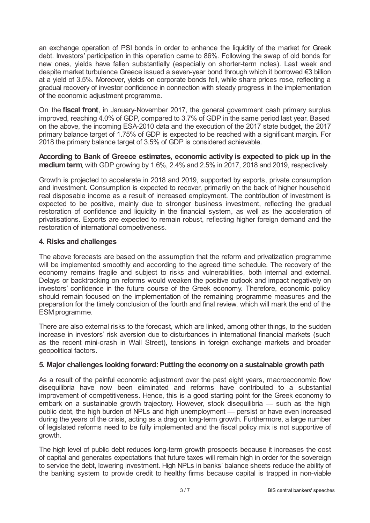an exchange operation of PSI bonds in order to enhance the liquidity of the market for Greek debt. Investors' participation in this operation came to 86%. Following the swap of old bonds for new ones, yields have fallen substantially (especially on shorter-term notes). Last week and despite market turbulence Greece issued a seven-year bond through which it borrowed €3 billion at a yield of 3.5%. Moreover, yields on corporate bonds fell, while share prices rose, reflecting a gradual recovery of investor confidence in connection with steady progress in the implementation of the economic adjustment programme.

On the **fiscal front**, in January-November 2017, the general government cash primary surplus improved, reaching 4.0% of GDP, compared to 3.7% of GDP in the same period last year. Based on the above, the incoming ESA-2010 data and the execution of the 2017 state budget, the 2017 primary balance target of 1.75% of GDP is expected to be reached with a significant margin. For 2018 the primary balance target of 3.5% of GDP is considered achievable.

### **According to Bank of Greece estimates, economic activity is expected to pick up in the mediumterm**, with GDP growing by 1.6%, 2.4% and 2.5% in 2017, 2018 and 2019, respectively.

Growth is projected to accelerate in 2018 and 2019, supported by exports, private consumption and investment. Consumption is expected to recover, primarily on the back of higher household real disposable income as a result of increased employment. The contribution of investment is expected to be positive, mainly due to stronger business investment, reflecting the gradual restoration of confidence and liquidity in the financial system, as well as the acceleration of privatisations. Exports are expected to remain robust, reflecting higher foreign demand and the restoration of international competiveness.

# **4. Risks and challenges**

The above forecasts are based on the assumption that the reform and privatization programme will be implemented smoothly and according to the agreed time schedule. The recovery of the economy remains fragile and subject to risks and vulnerabilities, both internal and external. Delays or backtracking on reforms would weaken the positive outlook and impact negatively on investors' confidence in the future course of the Greek economy. Therefore, economic policy should remain focused on the implementation of the remaining programme measures and the preparation for the timely conclusion of the fourth and final review, which will mark the end of the ESM programme.

There are also external risks to the forecast, which are linked, among other things, to the sudden increase in investors' risk aversion due to disturbances in international financial markets (such as the recent mini-crash in Wall Street), tensions in foreign exchange markets and broader geopolitical factors.

# **5. Major challenges looking forward: Putting the economyon a sustainable growth path**

As a result of the painful economic adjustment over the past eight years, macroeconomic flow disequilibria have now been eliminated and reforms have contributed to a substantial improvement of competitiveness. Hence, this is a good starting point for the Greek economy to embark on a sustainable growth trajectory. However, stock disequilibria — such as the high public debt, the high burden of NPLs and high unemployment — persist or have even increased during the years of the crisis, acting as a drag on long-term growth. Furthermore, a large number of legislated reforms need to be fully implemented and the fiscal policy mix is not supportive of growth.

The high level of public debt reduces long-term growth prospects because it increases the cost of capital and generates expectations that future taxes will remain high in order for the sovereign to service the debt, lowering investment. High NPLs in banks' balance sheets reduce the ability of the banking system to provide credit to healthy firms because capital is trapped in non-viable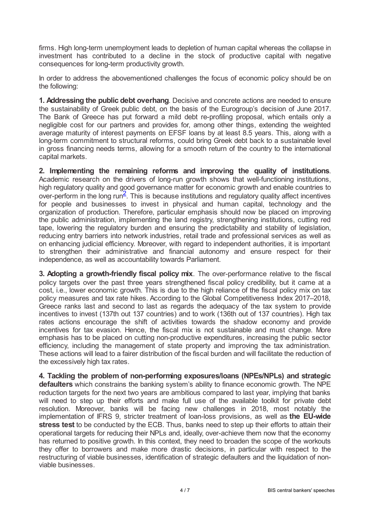firms. High long-term unemployment leads to depletion of human capital whereas the collapse in investment has contributed to a decline in the stock of productive capital with negative consequences for long-term productivity growth.

In order to address the abovementioned challenges the focus of economic policy should be on the following:

**1. Addressing the public debt overhang**. Decisive and concrete actions are needed to ensure the sustainability of Greek public debt, on the basis of the Eurogroup's decision of June 2017. The Bank of Greece has put forward a mild debt re-profiling proposal, which entails only a negligible cost for our partners and provides for, among other things, extending the weighted average maturity of interest payments on EFSF loans by at least 8.5 years. This, along with a long-term commitment to structural reforms, could bring Greek debt back to a sustainable level in gross financing needs terms, allowing for a smooth return of the country to the international capital markets.

<span id="page-3-0"></span>**2. Implementing the remaining reforms and improving the quality of institutions**. Academic research on the drivers of long-run growth shows that well-functioning institutions, high regulatory quality and good governance matter for economic growth and enable countries to over-perform in the long run<sup>[2](#page-6-1)</sup>. This is because institutions and regulatory quality affect incentives for people and businesses to invest in physical and human capital, technology and the organization of production. Therefore, particular emphasis should now be placed on improving the public administration, implementing the land registry, strengthening institutions, cutting red tape, lowering the regulatory burden and ensuring the predictability and stability of legislation, reducing entry barriers into network industries, retail trade and professional services as well as on enhancing judicial efficiency. Moreover, with regard to independent authorities, it is important to strengthen their administrative and financial autonomy and ensure respect for their independence, as well as accountability towards Parliament.

**3. Adopting a growth-friendly fiscal policy mix**. The over-performance relative to the fiscal policy targets over the past three years strengthened fiscal policy credibility, but it came at a cost, i.e., lower economic growth. This is due to the high reliance of the fiscal policy mix on tax policy measures and tax rate hikes. According to the Global Competitiveness Index 2017–2018, Greece ranks last and second to last as regards the adequacy of the tax system to provide incentives to invest (137th out 137 countries) and to work (136th out of 137 countries). High tax rates actions encourage the shift of activities towards the shadow economy and provide incentives for tax evasion. Hence, the fiscal mix is not sustainable and must change. More emphasis has to be placed on cutting non-productive expenditures, increasing the public sector efficiency, including the management of state property and improving the tax administration. These actions will lead to a fairer distribution of the fiscal burden and will facilitate the reduction of the excessively high tax rates.

**4. Tackling the problem of non-performing exposures/loans (NPEs/NPLs) and strategic defaulters** which constrains the banking system's ability to finance economic growth. The NPE reduction targets for the next two years are ambitious compared to last year, implying that banks will need to step up their efforts and make full use of the available toolkit for private debt resolution. Moreover, banks will be facing new challenges in 2018, most notably the implementation of IFRS 9, stricter treatment of loan-loss provisions, as well as **the EU-wide stress test** to be conducted by the ECB. Thus, banks need to step up their efforts to attain their operational targets for reducing their NPLs and, ideally, over-achieve them now that the economy has returned to positive growth. In this context, they need to broaden the scope of the workouts they offer to borrowers and make more drastic decisions, in particular with respect to the restructuring of viable businesses, identification of strategic defaulters and the liquidation of nonviable businesses.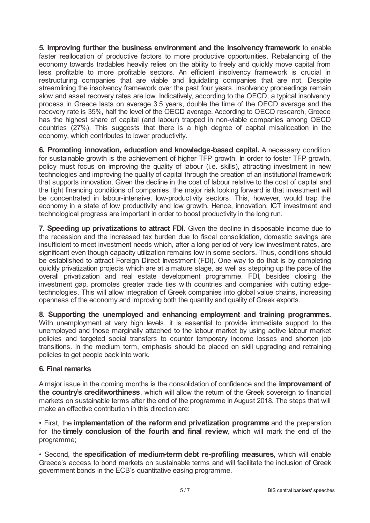**5. Improving further the business environment and the insolvency framework** to enable faster reallocation of productive factors to more productive opportunities. Rebalancing of the economy towards tradables heavily relies on the ability to freely and quickly move capital from less profitable to more profitable sectors. An efficient insolvency framework is crucial in restructuring companies that are viable and liquidating companies that are not. Despite streamlining the insolvency framework over the past four years, insolvency proceedings remain slow and asset recovery rates are low. Indicatively, according to the OECD, a typical insolvency process in Greece lasts on average 3.5 years, double the time of the OECD average and the recovery rate is 35%, half the level of the OECD average. According to OECD research, Greece has the highest share of capital (and labour) trapped in non-viable companies among OECD countries (27%). This suggests that there is a high degree of capital misallocation in the economy, which contributes to lower productivity.

**6. Promoting innovation, education and knowledge-based capital.** A necessary condition for sustainable growth is the achievement of higher TFP growth. In order to foster TFP growth, policy must focus on improving the quality of labour (i.e. skills), attracting investment in new technologies and improving the quality of capital through the creation of an institutional framework that supports innovation. Given the decline in the cost of labour relative to the cost of capital and the tight financing conditions of companies, the major risk looking forward is that investment will be concentrated in labour-intensive, low-productivity sectors. This, however, would trap the economy in a state of low productivity and low growth. Hence, innovation, ICT investment and technological progress are important in order to boost productivity in the long run.

**7. Speeding up privatizations to attract FDI**. Given the decline in disposable income due to the recession and the increased tax burden due to fiscal consolidation, domestic savings are insufficient to meet investment needs which, after a long period of very low investment rates, are significant even though capacity utilization remains low in some sectors. Thus, conditions should be established to attract Foreign Direct Investment (FDI). One way to do that is by completing quickly privatization projects which are at a mature stage, as well as stepping up the pace of the overall privatization and real estate development programme. FDI, besides closing the investment gap, promotes greater trade ties with countries and companies with cutting edgetechnologies. This will allow integration of Greek companies into global value chains, increasing openness of the economy and improving both the quantity and quality of Greek exports.

**8. Supporting the unemployed and enhancing employment and training programmes.** With unemployment at very high levels, it is essential to provide immediate support to the unemployed and those marginally attached to the labour market by using active labour market policies and targeted social transfers to counter temporary income losses and shorten job transitions. In the medium term, emphasis should be placed on skill upgrading and retraining policies to get people back into work.

# **6. Final remarks**

Amajor issue in the coming months is the consolidation of confidence and the **improvement of the country's creditworthiness**, which will allow the return of the Greek sovereign to financial markets on sustainable terms after the end of the programme in August 2018. The steps that will make an effective contribution in this direction are:

• First, the **implementation of the reform and privatization programme** and the preparation for the **timely conclusion of the fourth and final review**, which will mark the end of the programme;

• Second, the **specification of medium-term debt re-profiling measures**, which will enable Greece's access to bond markets on sustainable terms and will facilitate the inclusion of Greek government bonds in the ECB's quantitative easing programme.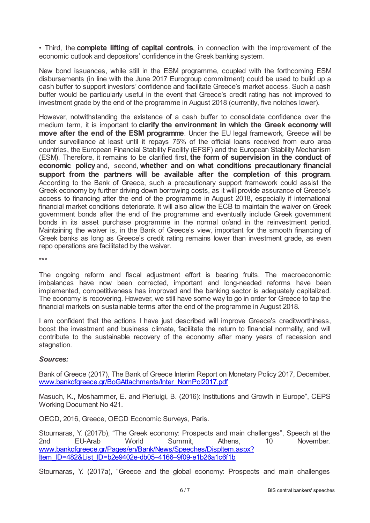• Third, the **complete lifting of capital controls**, in connection with the improvement of the economic outlook and depositors' confidence in the Greek banking system.

New bond issuances, while still in the ESM programme, coupled with the forthcoming ESM disbursements (in line with the June 2017 Eurogroup commitment) could be used to build up a cash buffer to support investors' confidence and facilitate Greece's market access. Such a cash buffer would be particularly useful in the event that Greece's credit rating has not improved to investment grade by the end of the programme in August 2018 (currently, five notches lower).

However, notwithstanding the existence of a cash buffer to consolidate confidence over the medium term, it is important to **clarify the environment in which the Greek economy will move after the end of the ESM programme**. Under the EU legal framework, Greece will be under surveillance at least until it repays 75% of the official loans received from euro area countries, the European Financial Stability Facility (EFSF) and the European Stability Mechanism (ESM). Therefore, it remains to be clarified first, **the form of supervision in the conduct of economic policy**and, second, **whether and on what conditions precautionary financial support from the partners will be available after the completion of this program**. According to the Bank of Greece, such a precautionary support framework could assist the Greek economy by further driving down borrowing costs, as it will provide assurance of Greece's access to financing after the end of the programme in August 2018, especially if international financial market conditions deteriorate. It will also allow the ECB to maintain the waiver on Greek government bonds after the end of the programme and eventually include Greek government bonds in its asset purchase programme in the normal or/and in the reinvestment period. Maintaining the waiver is, in the Bank of Greece's view, important for the smooth financing of Greek banks as long as Greece's credit rating remains lower than investment grade, as even repo operations are facilitated by the waiver.

\*\*\*

The ongoing reform and fiscal adjustment effort is bearing fruits. The macroeconomic imbalances have now been corrected, important and long-needed reforms have been implemented, competitiveness has improved and the banking sector is adequately capitalized. The economy is recovering. However, we still have some way to go in order for Greece to tap the financial markets on sustainable terms after the end of the programme in August 2018.

I am confident that the actions I have just described will improve Greece's creditworthiness, boost the investment and business climate, facilitate the return to financial normality, and will contribute to the sustainable recovery of the economy after many years of recession and stagnation.

#### *Sources:*

Bank of Greece (2017), The Bank of Greece Interim Report on Monetary Policy 2017, December. [www.bankofgreece.gr/BoGAttachments/Inter\\_NomPol2017.pdf](www.bankofgreece.gr/BoGAttachments/Inter_NomPol2017.pdf)

Masuch, K., Moshammer, E. and Pierluigi, B. (2016): Institutions and Growth in Europe", CEPS Working Document No 421.

OECD, 2016, Greece, OECD Economic Surveys, Paris.

Stournaras, Y. (2017b), "The Greek economy: Prospects and main challenges", Speech at the 2nd EU-Arab World Summit, Athens, 10 November. [www.bankofgreece.gr/Pages/en/Bank/News/Speeches/DispItem.aspx?](www.bankofgreece.gr/Pages/en/Bank/News/Speeches/DispItem.aspx?Item_ID=482&List_ID=b2e9402e-db05?4166?9f09-e1b26a1c6f1b) Item\_ID=482&List\_ID=b2e9402e-db05-4166-9f09-e1b26a1c6f1b

Stournaras, Y. (2017a), "Greece and the global economy: Prospects and main challenges